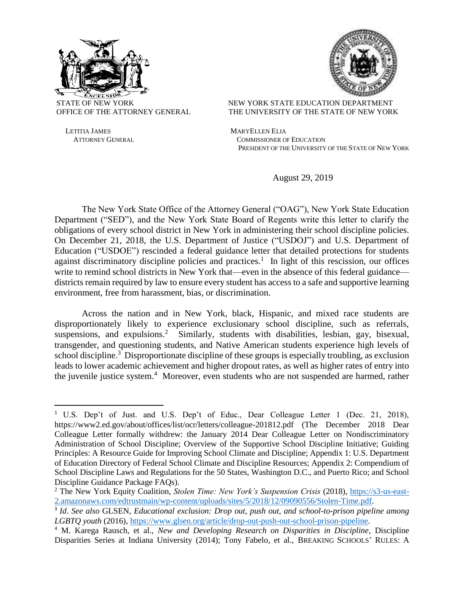

 $\overline{a}$ 

STATE OF NEW YORK NEW YORK STATE EDUCATION DEPARTMENT OFFICE OF THE ATTORNEY GENERAL THE UNIVERSITY OF THE STATE OF NEW YORK

LETITIA JAMES MARYELLEN ELIA ATTORNEY GENERAL COMMISSIONER OF EDUCATION PRESIDENT OF THE UNIVERSITY OF THE STATE OF NEW YORK

August 29, 2019

The New York State Office of the Attorney General ("OAG"), New York State Education Department ("SED"), and the New York State Board of Regents write this letter to clarify the obligations of every school district in New York in administering their school discipline policies. On December 21, 2018, the U.S. Department of Justice ("USDOJ") and U.S. Department of Education ("USDOE") rescinded a federal guidance letter that detailed protections for students against discriminatory discipline policies and practices.<sup>1</sup> In light of this rescission, our offices write to remind school districts in New York that—even in the absence of this federal guidance districts remain required by law to ensure every student has access to a safe and supportive learning environment, free from harassment, bias, or discrimination.

Across the nation and in New York, black, Hispanic, and mixed race students are disproportionately likely to experience exclusionary school discipline, such as referrals, suspensions, and expulsions.<sup>2</sup> Similarly, students with disabilities, lesbian, gay, bisexual, transgender, and questioning students, and Native American students experience high levels of school discipline.<sup>3</sup> Disproportionate discipline of these groups is especially troubling, as exclusion leads to lower academic achievement and higher dropout rates, as well as higher rates of entry into the juvenile justice system. <sup>4</sup> Moreover, even students who are not suspended are harmed, rather

<sup>&</sup>lt;sup>1</sup> U.S. Dep't of Just. and U.S. Dep't of Educ., Dear Colleague Letter 1 (Dec. 21, 2018), https://www2.ed.gov/about/offices/list/ocr/letters/colleague-201812.pdf (The December 2018 Dear Colleague Letter formally withdrew: the January 2014 Dear Colleague Letter on Nondiscriminatory Administration of School Discipline; Overview of the Supportive School Discipline Initiative; Guiding Principles: A Resource Guide for Improving School Climate and Discipline; Appendix 1: U.S. Department of Education Directory of Federal School Climate and Discipline Resources; Appendix 2: Compendium of School Discipline Laws and Regulations for the 50 States, Washington D.C., and Puerto Rico; and School Discipline Guidance Package FAQs).

<sup>2</sup> The New York Equity Coalition, *Stolen Time: New York's Suspension Crisis* (2018), [https://s3-us-east-](https://s3-us-east-2.amazonaws.com/edtrustmain/wp-content/uploads/sites/5/2018/12/09090556/Stolen-Time.pdf)[2.amazonaws.com/edtrustmain/wp-content/uploads/sites/5/2018/12/09090556/Stolen-Time.pdf.](https://s3-us-east-2.amazonaws.com/edtrustmain/wp-content/uploads/sites/5/2018/12/09090556/Stolen-Time.pdf)

<sup>3</sup> *Id*. *See also* GLSEN, *Educational exclusion: Drop out, push out, and school-to-prison pipeline among LGBTQ youth* (2016), [https://www.glsen.org/article/drop-out-push-out-school-prison-pipeline.](https://www.glsen.org/article/drop-out-push-out-school-prison-pipeline)

<sup>4</sup> M. Karega Rausch, et al., *New and Developing Research on Disparities in Discipline*, Discipline Disparities Series at Indiana University (2014); Tony Fabelo, et al., BREAKING SCHOOLS' RULES: A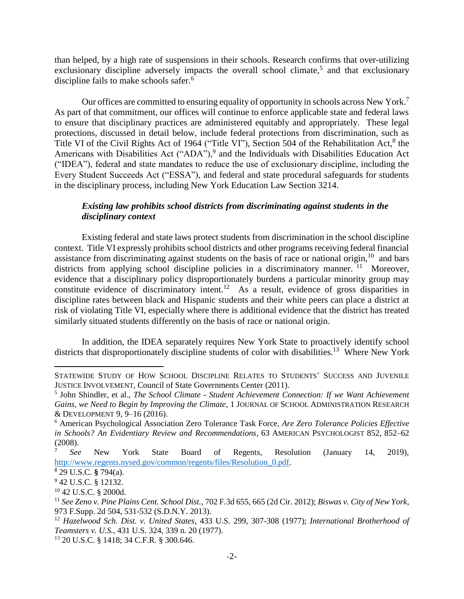than helped, by a high rate of suspensions in their schools. Research confirms that over-utilizing exclusionary discipline adversely impacts the overall school climate,<sup>5</sup> and that exclusionary discipline fails to make schools safer.<sup>6</sup>

Our offices are committed to ensuring equality of opportunity in schools across New York.<sup>7</sup> As part of that commitment, our offices will continue to enforce applicable state and federal laws to ensure that disciplinary practices are administered equitably and appropriately. These legal protections, discussed in detail below, include federal protections from discrimination, such as Title VI of the Civil Rights Act of 1964 ("Title VI"), Section 504 of the Rehabilitation Act,<sup>8</sup> the Americans with Disabilities Act ("ADA"),<sup>9</sup> and the Individuals with Disabilities Education Act ("IDEA"), federal and state mandates to reduce the use of exclusionary discipline, including the Every Student Succeeds Act ("ESSA"), and federal and state procedural safeguards for students in the disciplinary process, including New York Education Law Section 3214.

## *Existing law prohibits school districts from discriminating against students in the disciplinary context*

Existing federal and state laws protect students from discrimination in the school discipline context. Title VI expressly prohibits school districts and other programs receiving federal financial assistance from discriminating against students on the basis of race or national origin,<sup>10</sup> and bars districts from applying school discipline policies in a discriminatory manner.<sup>11</sup> Moreover, evidence that a disciplinary policy disproportionately burdens a particular minority group may constitute evidence of discriminatory intent.<sup>12</sup> As a result, evidence of gross disparities in discipline rates between black and Hispanic students and their white peers can place a district at risk of violating Title VI, especially where there is additional evidence that the district has treated similarly situated students differently on the basis of race or national origin.

In addition, the IDEA separately requires New York State to proactively identify school districts that disproportionately discipline students of color with disabilities.<sup>13</sup> Where New York

 $\overline{a}$ 

STATEWIDE STUDY OF HOW SCHOOL DISCIPLINE RELATES TO STUDENTS' SUCCESS AND JUVENILE JUSTICE INVOLVEMENT, Council of State Governments Center (2011).

<sup>5</sup> John Shindler, et al., *The School Climate - Student Achievement Connection: If we Want Achievement Gains, we Need to Begin by Improving the Climate*, 1 JOURNAL OF SCHOOL ADMINISTRATION RESEARCH & DEVELOPMENT 9, 9–16 (2016).

<sup>6</sup> American Psychological Association Zero Tolerance Task Force, *Are Zero Tolerance Policies Effective in Schools? An Evidentiary Review and Recommendations*, 63 AMERICAN PSYCHOLOGIST 852, 852–62 (2008).

<sup>7</sup> *See* New York State Board of Regents, Resolution (January 14, 2019), [http://www.regents.nysed.gov/common/regents/files/Resolution\\_0.pdf.](http://www.regents.nysed.gov/common/regents/files/Resolution_0.pdf)

<sup>8</sup> 29 U.S.C. **§** 794(a).

<sup>9</sup> 42 U.S.C. § 12132.

<sup>10</sup> 42 U.S.C. § 2000d.

<sup>11</sup> *See Zeno v. Pine Plains Cent. School Dist.*, 702 F.3d 655, 665 (2d Cir. 2012); *Biswas v. City of New York*, 973 F.Supp. 2d 504, 531-532 (S.D.N.Y. 2013).

<sup>12</sup> *Hazelwood Sch. Dist. v. United States*, 433 U.S. 299, 307-308 (1977); *International Brotherhood of Teamsters v. U.S.*, 431 U.S. 324, 339 n. 20 (1977).

<sup>13</sup> 20 U.S.C. § 1418; 34 C.F.R. § 300.646.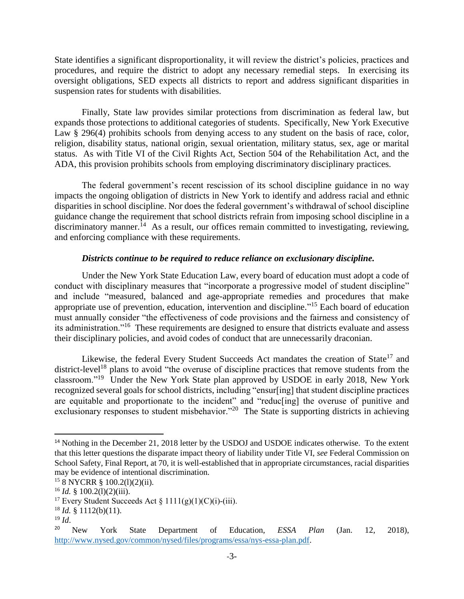State identifies a significant disproportionality, it will review the district's policies, practices and procedures, and require the district to adopt any necessary remedial steps. In exercising its oversight obligations, SED expects all districts to report and address significant disparities in suspension rates for students with disabilities.

Finally, State law provides similar protections from discrimination as federal law, but expands those protections to additional categories of students. Specifically, New York Executive Law § 296(4) prohibits schools from denying access to any student on the basis of race, color, religion, disability status, national origin, sexual orientation, military status, sex, age or marital status. As with Title VI of the Civil Rights Act, Section 504 of the Rehabilitation Act, and the ADA, this provision prohibits schools from employing discriminatory disciplinary practices.

The federal government's recent rescission of its school discipline guidance in no way impacts the ongoing obligation of districts in New York to identify and address racial and ethnic disparities in school discipline. Nor does the federal government's withdrawal of school discipline guidance change the requirement that school districts refrain from imposing school discipline in a discriminatory manner.<sup>14</sup> As a result, our offices remain committed to investigating, reviewing, and enforcing compliance with these requirements.

## *Districts continue to be required to reduce reliance on exclusionary discipline.*

Under the New York State Education Law, every board of education must adopt a code of conduct with disciplinary measures that "incorporate a progressive model of student discipline" and include "measured, balanced and age-appropriate remedies and procedures that make appropriate use of prevention, education, intervention and discipline."<sup>15</sup> Each board of education must annually consider "the effectiveness of code provisions and the fairness and consistency of its administration."<sup>16</sup> These requirements are designed to ensure that districts evaluate and assess their disciplinary policies, and avoid codes of conduct that are unnecessarily draconian.

Likewise, the federal Every Student Succeeds Act mandates the creation of State<sup>17</sup> and district-level<sup>18</sup> plans to avoid "the overuse of discipline practices that remove students from the classroom."<sup>19</sup> Under the New York State plan approved by USDOE in early 2018, New York recognized several goals for school districts, including "ensur[ing] that student discipline practices are equitable and proportionate to the incident" and "reduc[ing] the overuse of punitive and exclusionary responses to student misbehavior."<sup>20</sup> The State is supporting districts in achieving

<sup>19</sup> *Id*.

 $\overline{\phantom{a}}$ 

<sup>&</sup>lt;sup>14</sup> Nothing in the December 21, 2018 letter by the USDOJ and USDOE indicates otherwise. To the extent that this letter questions the disparate impact theory of liability under Title VI, *see* Federal Commission on School Safety, Final Report, at 70, it is well-established that in appropriate circumstances, racial disparities may be evidence of intentional discrimination.

<sup>15</sup> 8 NYCRR § 100.2(l)(2)(ii).

 $^{16}$  *Id.* § 100.2(1)(2)(iii).

<sup>&</sup>lt;sup>17</sup> Every Student Succeeds Act §  $1111(g)(1)(C)(i)$ -(iii).

 $18$  *Id.* § 1112(b)(11).

<sup>20</sup> New York State Department of Education, *ESSA Plan* (Jan. 12, 2018), [http://www.nysed.gov/common/nysed/files/programs/essa/nys-essa-plan.pdf.](http://www.nysed.gov/common/nysed/files/programs/essa/nys-essa-plan.pdf)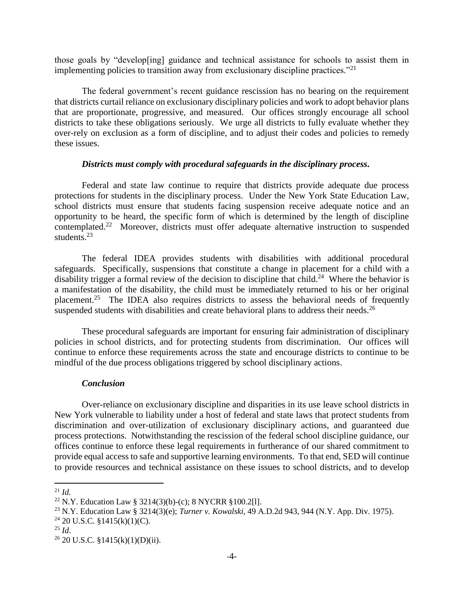those goals by "develop[ing] guidance and technical assistance for schools to assist them in implementing policies to transition away from exclusionary discipline practices. $"^{21}$ 

The federal government's recent guidance rescission has no bearing on the requirement that districts curtail reliance on exclusionary disciplinary policies and work to adopt behavior plans that are proportionate, progressive, and measured. Our offices strongly encourage all school districts to take these obligations seriously. We urge all districts to fully evaluate whether they over-rely on exclusion as a form of discipline, and to adjust their codes and policies to remedy these issues.

## *Districts must comply with procedural safeguards in the disciplinary process.*

Federal and state law continue to require that districts provide adequate due process protections for students in the disciplinary process. Under the New York State Education Law, school districts must ensure that students facing suspension receive adequate notice and an opportunity to be heard, the specific form of which is determined by the length of discipline contemplated.<sup>22</sup> Moreover, districts must offer adequate alternative instruction to suspended students. $^{23}$ 

The federal IDEA provides students with disabilities with additional procedural safeguards. Specifically, suspensions that constitute a change in placement for a child with a disability trigger a formal review of the decision to discipline that child.<sup>24</sup> Where the behavior is a manifestation of the disability, the child must be immediately returned to his or her original placement.<sup>25</sup> The IDEA also requires districts to assess the behavioral needs of frequently suspended students with disabilities and create behavioral plans to address their needs.<sup>26</sup>

These procedural safeguards are important for ensuring fair administration of disciplinary policies in school districts, and for protecting students from discrimination. Our offices will continue to enforce these requirements across the state and encourage districts to continue to be mindful of the due process obligations triggered by school disciplinary actions.

## *Conclusion*

Over-reliance on exclusionary discipline and disparities in its use leave school districts in New York vulnerable to liability under a host of federal and state laws that protect students from discrimination and over-utilization of exclusionary disciplinary actions, and guaranteed due process protections. Notwithstanding the rescission of the federal school discipline guidance, our offices continue to enforce these legal requirements in furtherance of our shared commitment to provide equal access to safe and supportive learning environments. To that end, SED will continue to provide resources and technical assistance on these issues to school districts, and to develop

l

<sup>21</sup> *Id.*

<sup>&</sup>lt;sup>22</sup> N.Y. Education Law § 3214(3)(b)-(c); 8 NYCRR §100.2[1].

<sup>23</sup> N.Y. Education Law § 3214(3)(e); *Turner v. Kowalski*, 49 A.D.2d 943, 944 (N.Y. App. Div. 1975).

 $24$  20 U.S.C. §1415(k)(1)(C).

 $^{25}$  *Id.* 

 $26$  20 U.S.C. §1415(k)(1)(D)(ii).